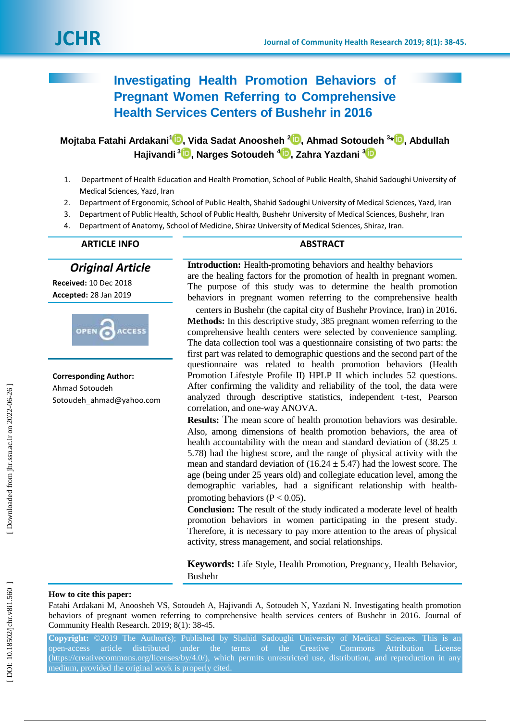# **Investigating Health Promotion Behaviors of Pregnant Women Referring to Comprehensive Health Services Centers of Bushehr in 2016**

**Mojtaba Fatahi Ardakani [1](https://orcid.org/0000-0001-9989-171x) , Vida Sadat Anoosheh 2 [,](https://orcid.org/0000-0001-8568-7355) Ahmad Sotoudeh 3 \* [,](https://orcid.org/0000-0001-9010-4628) Abdullah Hajivandi [3](https://orcid.org/0000-0003-4864-1029) , Narges Sotoudeh [4](https://orcid.org/0000-0003-3504-8322) , Zahra Yazdani 3**

- 1. Department of Health Education and Health Promotion, School of Public Health, Shahid Sadoughi University of Medical Sciences, Yazd, Iran
- 2. Department of Ergonomic, School of Public Health, Shahid Sadoughi University of Medical Sciences, Yazd, Iran
- 3. Department of Public Health, School of Public Health, Bushehr University of Medical Sciences, Bushehr, Iran
- 4. Department of Anatomy, School of Medicine, Shiraz University of Medical Sciences, Shiraz, Iran.

# **ARTICLE INFO ABSTRACT**

*Original Article*

**Received:** 10 Dec 2018 **Accepted:** 28 Jan 201 9



**Corresponding Author:** Ahmad Sotoudeh Sotoudeh ahmad@yahoo.com

**Introduction :** Health -promoting behaviors and healthy behaviors are the healing factors for the promotion of health in pregnant women. The purpose of this study was to determine the health promotion behaviors in pregnant women referring to the comprehensive health

centers in Bushehr (the capital city of Bushehr Province, Iran ) in 2016 . **Methods:** In this descriptive study, 385 pregnant women referring to the comprehensive health centers were selected by convenience sampling. The data collection tool was a questionnaire consisting of two parts: the first part was related to demographic questions and the second part of the questionnaire was related to health promotion behaviors (Health Promotion Lifestyle Profile II) HPLP II which includes 52 questions. After confirming the validity and reliability of the tool, the data were analyzed through descriptive statistics, independent t -test, Pearson correlation, and one -way ANOVA.

**Results:** The mean score of health promotion behaviors was desirable. Also, among dimensions of health promotion behaviors, the area of health accountability with the mean and standard deviation of  $(38.25 \pm$ 5.78) had the highest score, and the range of physical activity with the mean and standard deviation of  $(16.24 \pm 5.47)$  had the lowest score. The age (being under 25 years old) and collegiate education level, among the demographic variables, had a significant relationship with health promoting behaviors ( $P < 0.05$ ).

**Conclusion :** The result of the study indicated a moderate level of health promotion behaviors in women participating in the present study. Therefore, it is necessary to pay more attention to the areas of physical activity, stress management, and social relationships.

**Keywords:** Life Style, Health Promotion, Pregnancy, Health Behavior, Bushehr

# **How to cite this paper:**

Fatahi Ardakani M, Anoosheh VS, Sotoudeh A, Hajivandi A, Sotoudeh N, Yazdani N. Investigating health promotion behaviors of pregnant women referring to comprehensive health services centers of Bushehr in 2016. Journal of Community Health Research. 2019; 8(1): 38-45.

**Copyright:** ©2019 The Author(s); Published by Shahid Sadoughi University of Medical Sciences. This is an open -access article distributed under the terms of the Creative Commons Attribution License [\(https://creativecommons.org/licenses/by/4.0/\)](https://creativecommons.org/licenses/by/4.0/), which permits unrestricted use, distribution, and reproduction in any medium, provided the original work is properly cited.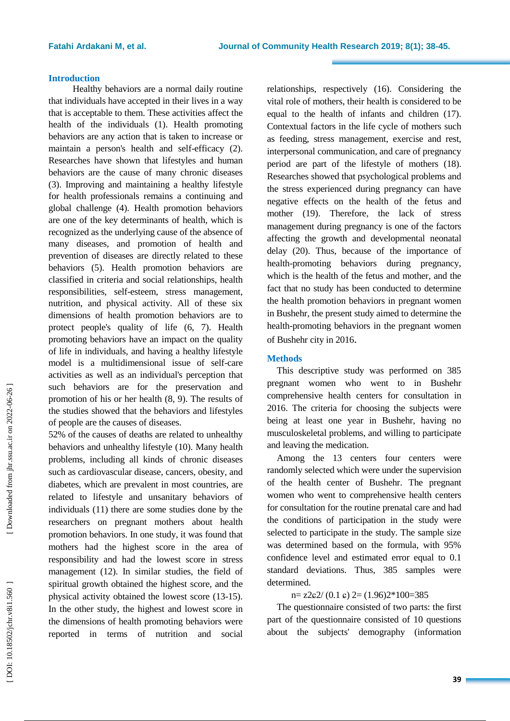# **Introduction**

Healthy behaviors are a normal daily routine that individuals have accepted in their lives in a way that is acceptable to them. These activities affect the health of the individuals (1). Health promoting behaviors are any action that is taken to increase or maintain a person's health and self-efficacy (2). Researches have shown that lifestyles and human behaviors are the cause of many chronic diseases (3). Improving and maintaining a healthy lifestyle for health professionals remains a continuing and global challenge (4). Health promotion behaviors are one of the key determinants of health, which is recognized as the underlying cause of the absence of many diseases, and promotion of health and prevention of diseases are directly related to these behaviors (5). Health promotion behaviors are classified in criteria and social relationships, health responsibilities, self-esteem, stress management, nutrition, and physical activity. All of these six dimensions of health promotion behaviors are to protect people's quality of life (6, 7). Health promoting behaviors have an impact on the quality of life in individuals, and having a healthy lifestyle model is a multidimensional issue of self-care activities as well as an individual's perception that such behaviors are for the preservation and promotion of his or her health (8, 9). The results of the studies showed that the behaviors and lifestyles of people are the causes of diseases.

52% of the causes of deaths are related to unhealthy behaviors and unhealthy lifestyle (10). Many health problems, including all kinds of chronic diseases such as cardiovascular disease, cancers, obesity, and diabetes, which are prevalent in most countries, are related to lifestyle and unsanitary behaviors of individuals (11) there are some studies done by the researchers on pregnant mothers about health promotion behaviors. In one study, it was found that mothers had the highest score in the area of responsibility and had the lowest score in stress management (12). In similar studies, the field of spiritual growth obtained the highest score, and the physical activity obtained the lowest score (13 -15). In the other study, the highest and lowest score in the dimensions of health promoting behaviors were reported in terms of nutrition and social

relationships, respectively (16). Considering the vital role of mothers, their health is considered to be equal to the health of infants and children (17). Contextual factors in the life cycle of mothers such as feeding, stress management, exercise and rest, interpersonal communication, and care of pregnancy period are part of the lifestyle of mothers (18). Researches showed that psychological problems and the stress experienced during pregnancy can have negative effects on the health of the fetus and mother (19). Therefore, the lack of stress management during pregnancy is one of the factors affecting the growth and developmental neonatal delay (20). Thus, because of the importance of health -promoting behaviors during pregnancy, which is the health of the fetus and mother, and the fact that no study has been conducted to determine the health promotion behaviors in pregnant women in Bushehr, the present study aimed to determine the health -promoting behaviors in the pregnant women of Bushehr city in 2016 .

# **Methods**

This descriptive study was performed on 385 pregnant women who went to in Bushehr comprehensive health centers for consultation in 2016. The criteria for choosing the subjects were being at least one year in Bushehr, having no musculoskeletal problems, and willing to participate and leaving the medication.

Among the 13 centers four centers were randomly selected which were under the supervision of the health center of Bushehr. The pregnant women who went to comprehensive health centers for consultation for the routine prenatal care and had the conditions of participation in the study were selected to participate in the study. The sample size was determined based on the formula, with 95% confidence level and estimated error equal to 0.1 standard deviations. Thus, 385 samples were determined.

# $n=$  z2 $\epsilon$ 2/ (0.1  $\epsilon$ ) 2= (1.96)2\*100=385

The questionnaire consisted of two parts: the first part of the questionnaire consisted of 10 questions about the subjects' demography (information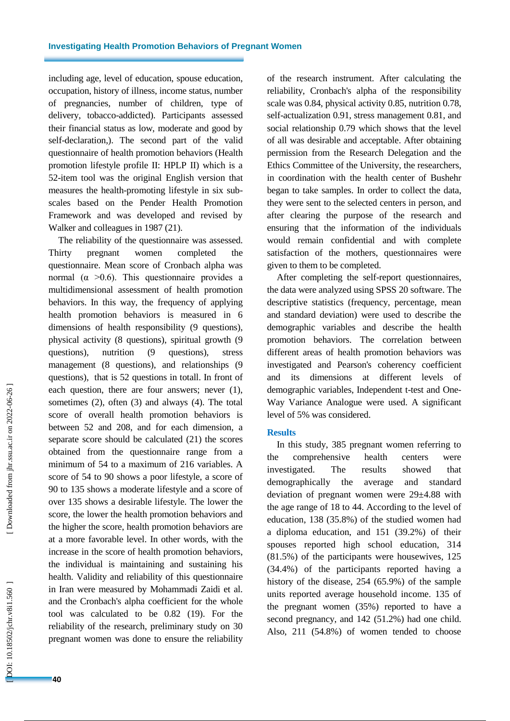including age, level of education, spouse education, occupation, history of illness, income status, number of pregnancies, number of children, type of delivery, tobacco -addicted). Participants assessed their financial status as low, moderate and good by self-declaration,). The second part of the valid questionnaire of health promotion behaviors (Health promotion lifestyle profile II: HPLP II) which is a 52 -item tool was the original English version that measures the health -promoting lifestyle in six sub scales based on the Pender Health Promotion Framework and was developed and revised by Walker and colleagues in 1987 (21).

The reliability of the questionnaire was assessed. Thirty pregnant women completed the questionnaire. Mean score of Cronbach alpha was normal ( $\alpha > 0.6$ ). This questionnaire provides a multidimensional assessment of health promotion behaviors. In this way, the frequency of applying health promotion behaviors is measured in 6 dimensions of health responsibility (9 questions), physical activity (8 questions), spiritual growth (9 questions), nutrition (9 questions), stress management (8 questions), and relationships (9 questions), that is 52 questions in totall. In front of each question, there are four answers; never (1), sometimes (2), often (3) and always (4). The total score of overall health promotion behaviors is between 52 and 208, and for each dimension, a separate score should be calculated (21) the scores obtained from the questionnaire range from a minimum of 54 to a maximum of 216 variables. A score of 54 to 90 shows a poor lifestyle, a score of 90 to 135 shows a moderate lifestyle and a score of over 135 shows a desirable lifestyle. The lower the score, the lower the health promotion behaviors and the higher the score, health promotion behaviors are at a more favorable level. In other words, with the increase in the score of health promotion behaviors, the individual is maintaining and sustaining his health. Validity and reliability of this questionnaire in Iran were measured by Mohammadi Zaidi et al. and the Cronbach's alpha coefficient for the whole tool was calculated to be 0.82 (19). For the reliability of the research, preliminary study on 30 pregnant women was done to ensure the reliability of the research instrument. After calculating the reliability, Cronbach's alpha of the responsibility scale was 0.84, physical activity 0.85, nutrition 0.78, self-actualization 0.91, stress management 0.81, and social relationship 0.79 which shows that the level of all was desirable and acceptable. After obtaining permission from the Research Delegation and the Ethics Committee of the University, the researchers, in coordination with the health center of Bushehr began to take samples. In order to collect the data, they were sent to the selected centers in person, and after clearing the purpose of the research and ensuring that the information of the individuals would remain confidential and with complete satisfaction of the mothers, questionnaires were given to them to be completed.

After completing the self-report questionnaires, the data were analyzed using SPSS 20 software. The descriptive statistics (frequency, percentage, mean and standard deviation) were used to describe the demographic variables and describe the health promotion behaviors. The correlation between different areas of health promotion behaviors was investigated and Pearson's coherency coefficient and its dimensions at different levels demographic variables, Independent t -test and One - Way Variance Analogue were used. A significant level of 5% was considered.

#### **Results**

In this study, 385 pregnant women referring to the comprehensive health centers were investigated. The results showed that demographically the average and standard deviation of pregnant women were 29±4.88 with the age range of 18 to 44. According to the level of education, 138 (35.8%) of the studied women had a diploma education, and 151 (39.2%) of their spouses reported high school education, 314 (81.5%) of the participants were housewives, 125 (34.4%) of the participants reported having a history of the disease, 254 (65.9%) of the sample units reported average household income. 135 of the pregnant women (35%) reported to have a second pregnancy, and 142 (51.2%) had one child. Also, 211 (54.8%) of women tended to choose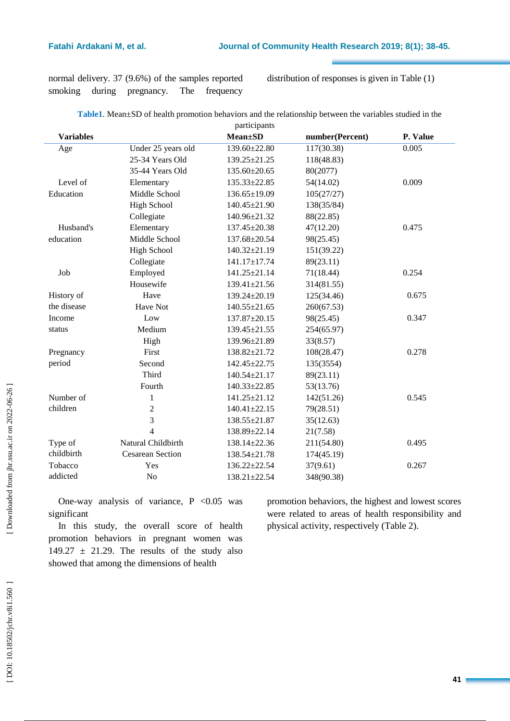normal delivery. 37 (9.6%) of the samples reported smoking during pregnancy. The frequency

distribution of responses is given in Table (1)

| Table1. Mean±SD of health promotion behaviors and the relationship between the variables studied in the |  |  |  |  |
|---------------------------------------------------------------------------------------------------------|--|--|--|--|
| narticinante                                                                                            |  |  |  |  |

|                  |                         | participatits      |                 |          |
|------------------|-------------------------|--------------------|-----------------|----------|
| <b>Variables</b> |                         | <b>Mean</b> ±SD    | number(Percent) | P. Value |
| Age              | Under 25 years old      | 139.60±22.80       | 117(30.38)      | 0.005    |
|                  | 25-34 Years Old         | 139.25±21.25       | 118(48.83)      |          |
|                  | 35-44 Years Old         | 135.60±20.65       | 80(2077)        |          |
| Level of         | Elementary              | $135.33 \pm 22.85$ | 54(14.02)       | 0.009    |
| Education        | Middle School           | $136.65 \pm 19.09$ | 105(27/27)      |          |
|                  | <b>High School</b>      | 140.45±21.90       | 138(35/84)      |          |
|                  | Collegiate              | 140.96±21.32       | 88(22.85)       |          |
| Husband's        | Elementary              | 137.45±20.38       | 47(12.20)       | 0.475    |
| education        | Middle School           | 137.68±20.54       | 98(25.45)       |          |
|                  | <b>High School</b>      | $140.32 \pm 21.19$ | 151(39.22)      |          |
|                  | Collegiate              | 141.17±17.74       | 89(23.11)       |          |
| Job              | Employed                | 141.25±21.14       | 71(18.44)       | 0.254    |
|                  | Housewife               | $139.41 \pm 21.56$ | 314(81.55)      |          |
| History of       | Have                    | 139.24±20.19       | 125(34.46)      | 0.675    |
| the disease      | Have Not                | $140.55 \pm 21.65$ | 260(67.53)      |          |
| Income           | Low                     | 137.87±20.15       | 98(25.45)       | 0.347    |
| status           | Medium                  | 139.45±21.55       | 254(65.97)      |          |
|                  | High                    | 139.96±21.89       | 33(8.57)        |          |
| Pregnancy        | First                   | 138.82±21.72       | 108(28.47)      | 0.278    |
| period           | Second                  | $142.45 \pm 22.75$ | 135(3554)       |          |
|                  | Third                   | $140.54 \pm 21.17$ | 89(23.11)       |          |
|                  | Fourth                  | $140.33 \pm 22.85$ | 53(13.76)       |          |
| Number of        | $\mathbf{1}$            | 141.25±21.12       | 142(51.26)      | 0.545    |
| children         | $\sqrt{2}$              | $140.41 \pm 22.15$ | 79(28.51)       |          |
|                  | 3                       | 138.55±21.87       | 35(12.63)       |          |
|                  | $\overline{4}$          | 138.89±22.14       | 21(7.58)        |          |
| Type of          | Natural Childbirth      | 138.14±22.36       | 211(54.80)      | 0.495    |
| childbirth       | <b>Cesarean Section</b> | 138.54±21.78       | 174(45.19)      |          |
| Tobacco          | Yes                     | $136.22 \pm 22.54$ | 37(9.61)        | 0.267    |
| addicted         | No                      | $138.21 \pm 22.54$ | 348(90.38)      |          |
|                  |                         |                    |                 |          |

One-way analysis of variance,  $P < 0.05$  was significant

In this study, the overall score of health promotion behaviors in pregnant women was 149.27  $\pm$  21.29. The results of the study also showed that among the dimensions of health

promotion behaviors, the highest and lowest scores were related to areas of health responsibility and physical activity, respectively (Table 2).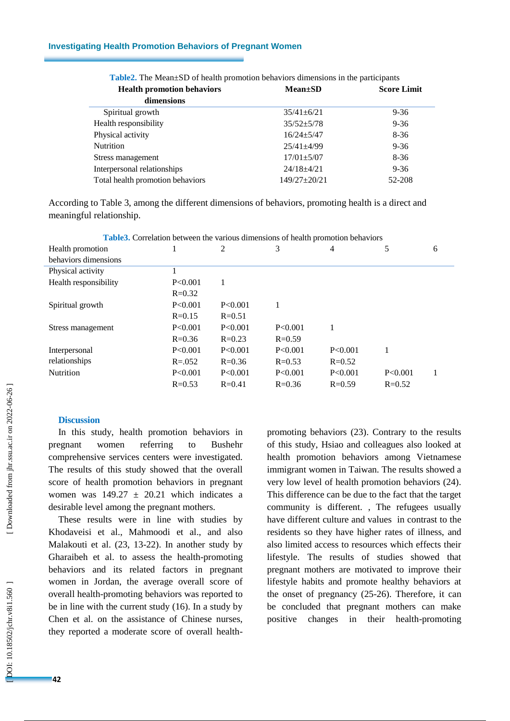### **Investigating Health Promotion Behaviors of Pregnant Women**

| <b>Health promotion behaviors</b> | $Mean \pm SD$    | <b>Score Limit</b> |
|-----------------------------------|------------------|--------------------|
| dimensions                        |                  |                    |
| Spiritual growth                  | $35/41 \pm 6/21$ | $9 - 36$           |
| Health responsibility             | $35/52 + 5/78$   | $9 - 36$           |
| Physical activity                 | $16/24 + 5/47$   | $8-36$             |
| <b>Nutrition</b>                  | $25/41 + 4/99$   | $9 - 36$           |
| Stress management                 | $17/01 \pm 5/07$ | $8-36$             |
| Interpersonal relationships       | $24/18 + 4/21$   | $9 - 36$           |
| Total health promotion behaviors  | $149/27 + 20/21$ | 52-208             |

| <b>Table2.</b> The Mean±SD of health promotion behaviors dimensions in the participants |  |  |  |  |
|-----------------------------------------------------------------------------------------|--|--|--|--|
|-----------------------------------------------------------------------------------------|--|--|--|--|

According to Table 3, among the different dimensions of behaviors, promoting health is a direct and meaningful relationship.

|                       |             |            | <b>THOROGE COLLUMITY OCCHOOL THE VALIONS CHIREHOLIS OF HUMAN PLOTHOLISH OCHAVIOLS</b> |            |            |   |
|-----------------------|-------------|------------|---------------------------------------------------------------------------------------|------------|------------|---|
| Health promotion      |             | 2          | 3                                                                                     | 4          | 5          | 6 |
| behaviors dimensions  |             |            |                                                                                       |            |            |   |
| Physical activity     |             |            |                                                                                       |            |            |   |
| Health responsibility | P<0.001     |            |                                                                                       |            |            |   |
|                       | $R = 0.32$  |            |                                                                                       |            |            |   |
| Spiritual growth      | P<0.001     | P < 0.001  |                                                                                       |            |            |   |
|                       | $R = 0.15$  | $R = 0.51$ |                                                                                       |            |            |   |
| Stress management     | P<0.001     | P < 0.001  | P < 0.001                                                                             |            |            |   |
|                       | $R = 0.36$  | $R = 0.23$ | $R = 0.59$                                                                            |            |            |   |
| Interpersonal         | P<0.001     | P<0.001    | P<0.001                                                                               | P<0.001    |            |   |
| relationships         | $R = 0.052$ | $R = 0.36$ | $R = 0.53$                                                                            | $R = 0.52$ |            |   |
| Nutrition             | P<0.001     | P<0.001    | P<0.001                                                                               | P<0.001    | P<0.001    |   |
|                       | $R = 0.53$  | $R = 0.41$ | $R = 0.36$                                                                            | $R = 0.59$ | $R = 0.52$ |   |

**Table3.** Correlation between the various dimensions of health promotion behaviors

# **Discussion**

In this study, health promotion behaviors in pregnant women referring to Bushehr comprehensive services centers were investigated. The results of this study showed that the overall score of health promotion behaviors in pregnant women was  $149.27 \pm 20.21$  which indicates a desirable level among the pregnant mothers.

These results were in line with studies by Khodaveisi et al., Mahmoodi et al., and also Malakouti et al. (23, 13 -22). In another study by Gharaibeh et al. to assess the health -promoting behaviors and its related factors in pregnant women in Jordan, the average overall score of overall health -promoting behaviors was reported to be in line with the current study (16). In a study by Chen et al. on the assistance of Chinese nurses, they reported a moderate score of overall health -

promoting behaviors (23). Contrary to the results of this study, Hsiao and colleagues also looked at health promotion behaviors among Vietnamese immigrant women in Taiwan. The results showed a very low level of health promotion behaviors (24). This difference can be due to the fact that the target community is different. , The refugees usually have different culture and values in contrast to the residents so they have higher rates of illness, and also limited access to resources which effects their lifestyle. The results of studies showed that pregnant mothers are motivated to improve their lifestyle habits and promote healthy behaviors at the onset of pregnancy (25 -26). Therefore, it can be concluded that pregnant mothers can make positive changes in their health-promoting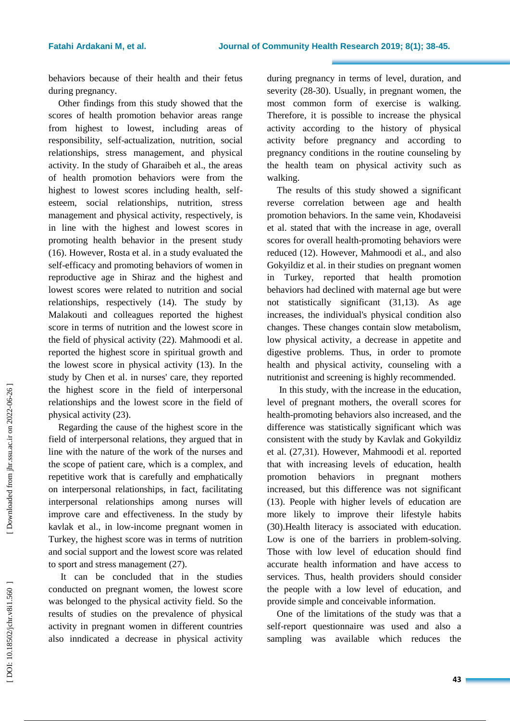behaviors because of their health and their fetus during pregnancy.

Other findings from this study showed that the scores of health promotion behavior areas range from highest to lowest, including areas of responsibility, self-actualization, nutrition, social relationships, stress management, and physical activity. In the study of Gharaibeh et al., the areas of health promotion behaviors were from the highest to lowest scores including health, self esteem, social relationships, nutrition, stress management and physical activity, respectively, is in line with the highest and lowest scores in promoting health behavior in the present study (16). However, Rosta et al. in a study evaluated the self-efficacy and promoting behaviors of women in reproductive age in Shiraz and the highest and lowest scores were related to nutrition and social relationships, respectively (14). The study by Malakouti and colleagues reported the highest score in terms of nutrition and the lowest score in the field of physical activity (22). Mahmoodi et al. reported the highest score in spiritual growth and the lowest score in physical activity (13). In the study by Chen et al. in nurses' care, they reported the highest score in the field of interpersonal relationships and the lowest score in the field of physical activity (23).

Regarding the cause of the highest score in the field of interpersonal relations, they argued that in line with the nature of the work of the nurses and the scope of patient care, which is a complex, and repetitive work that is carefully and emphatically on interpersonal relationships, in fact, facilitating interpersonal relationships among nurses will improve care and effectiveness. In the study by kavlak et al., in low -income pregnant women in Turkey, the highest score was in terms of nutrition and social support and the lowest score was related to sport and stress management (27).

It can be concluded that in the studies conducted on pregnant women, the lowest score was belonged to the physical activity field. So the results of studies on the prevalence of physical activity in pregnant women in different countries also inndicated a decrease in physical activity during pregnancy in terms of level, duration, and severity (28 -30). Usually, in pregnant women, the most common form of exercise is walking. Therefore, it is possible to increase the physical activity according to the history of physical activity before pregnancy and according to pregnancy conditions in the routine counseling by the health team on physical activity such as walking.

The results of this study showed a significant reverse correlation between age and health promotion behaviors. In the same vein, Khodaveisi et al. stated that with the increase in age, overall scores for overall health -promoting behaviors were reduced (12). However, Mahmoodi et al., and also Gokyildiz et al. in their studies on pregnant women in Turkey, reported that health promotion behaviors had declined with maternal age but were not statistically significant (31,13). As age increases, the individual's physical condition also changes. These changes contain slow metabolism, low physical activity, a decrease in appetite and digestive problems. Thus, in order to promote health and physical activity, counseling with a nutritionist and screening is highly recommended.

In this study, with the increase in the education, level of pregnant mothers, the overall scores for health -promoting behaviors also increased, and the difference was statistically significant which was consistent with the study by Kavlak and Gokyildiz et al. (27,31). However, Mahmoodi et al. reported that with increasing levels of education, health promotion behaviors in pregnant mothers increased, but this difference was not significant (13). People with higher levels of education are more likely to improve their lifestyle habits (30).Health literacy is associated with education. Low is one of the barriers in problem-solving. Those with low level of education should find accurate health information and have access to services. Thus, health providers should consider the people with a low level of education, and provide simple and conceivable information.

One of the limitations of the study was that a self-report questionnaire was used and also a sampling was available which reduces the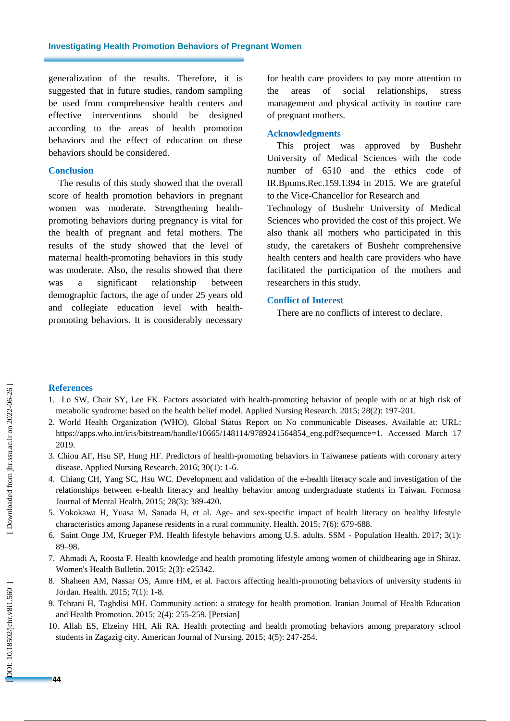generalization of the results. Therefore, it is suggested that in future studies, random sampling be used from comprehensive health centers and effective interventions should be designed according to the areas of health promotion behaviors and the effect of education on these behaviors should be considered.

### **Conclusion**

The results of this study showed that the overall score of health promotion behaviors in pregnant women was moderate. Strengthening health promoting behaviors during pregnancy is vital for the health of pregnant and fetal mothers. The results of the study showed that the level of maternal health -promoting behaviors in this study was moderate. Also, the results showed that there was a significant relationship between demographic factors, the age of under 25 years old and collegiate education level with healthpromoting behaviors. It is considerably necessary

for health care providers to pay more attention to the areas of social relationships, stress management and physical activity in routine care of pregnant mothers.

### **Acknowledgments**

This project was approved by Bushehr University of Medical Sciences with the code number of 6510 and the ethics code of IR.Bpums.Rec.159.1394 in 2015. We are grateful to the Vice -Chancellor for Research and Technology of Bushehr University of Medical Sciences who provided the cost of this project. We also thank all mothers who participated in this study, the caretakers of Bushehr comprehensive health centers and health care providers who have facilitated the participation of the mothers and researchers in this study.

### **Conflict of Interest**

There are no conflicts of interest to declare .

# **References**

- 1. Lo SW, Chair SY, Lee FK. Factors associated with health -promoting behavior of people with or at high risk of metabolic syndrome: based on the health belief model. Applied Nursing Research. 2015; 28(2): 197 -201.
- 2. World Health Organization (WHO). Global Status Report on No communicable Diseases. Available at: URL: [https://apps.who.int/iris/bitstream/handle/10665/148114/9789241564854\\_eng.pdf?sequence=1](https://apps.who.int/iris/bitstream/handle/10665/148114/9789241564854_eng.pdf?sequence=1) . Accessed March 17 2019.
- 3. Chiou AF, Hsu SP, Hung HF. Predictors of health -promoting behaviors in Taiwanese patients with coronary artery disease. Applied Nursing Research. 2016; 30(1): 1 -6.
- 4. Chiang CH, Yang SC, Hsu WC. Development and validation of the e -health literacy scale and investigation of the relationships between e -health literacy and healthy behavior among undergraduate students in Taiwan. Formosa Journal of Mental Health. 2015; 28(3): 389 -420.
- 5. Yokokawa H, Yuasa M, Sanada H, et al. Age and sex -specific impact of health literacy on healthy lifestyle characteristics among Japanese residents in a rural community. Health. 2015; 7(6): 679 -688.
- 6. Saint Onge JM, Krueger PM. Health lifestyle behaviors among U.S. adults. SSM Population Health. 2017; 3(1): 89 –98.
- 7. Ahmadi A, Roosta F. Health knowledge and health promoting lifestyle among women of childbearing age in Shiraz. Women's Health Bulletin. 2015; 2(3): e25342.
- 8. Shaheen AM, Nassar OS, Amre HM, et al. Factors affecting health -promoting behaviors of university students in Jordan. Health. 2015; 7(1): 1 -8.
- 9. Tehrani H, Taghdisi MH. Community action: a strategy for health promotion. Iranian Journal of Health Education and Health Promotion. 2015; 2(4): 255 -259. [Persian]
- 10. Allah ES, Elzeiny HH, Ali RA. Health protecting and health promoting behaviors among preparatory school students in Zagazig city. American Journal of Nursing. 2015; 4(5): 247 -254.